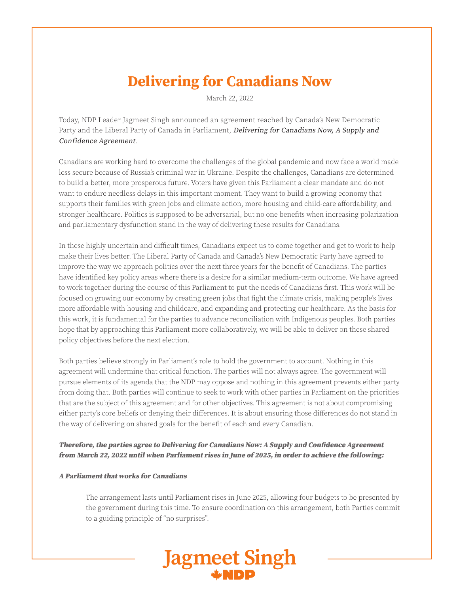# **Delivering for Canadians Now**

March 22, 2022

Today, NDP Leader Jagmeet Singh announced an agreement reached by Canada's New Democratic Party and the Liberal Party of Canada in Parliament, Delivering for Canadians Now, A Supply and Confidence Agreement.

Canadians are working hard to overcome the challenges of the global pandemic and now face a world made less secure because of Russia's criminal war in Ukraine. Despite the challenges, Canadians are determined to build a better, more prosperous future. Voters have given this Parliament a clear mandate and do not want to endure needless delays in this important moment. They want to build a growing economy that supports their families with green jobs and climate action, more housing and child-care affordability, and stronger healthcare. Politics is supposed to be adversarial, but no one benefits when increasing polarization and parliamentary dysfunction stand in the way of delivering these results for Canadians.

In these highly uncertain and difficult times, Canadians expect us to come together and get to work to help make their lives better. The Liberal Party of Canada and Canada's New Democratic Party have agreed to improve the way we approach politics over the next three years for the benefit of Canadians. The parties have identified key policy areas where there is a desire for a similar medium-term outcome. We have agreed to work together during the course of this Parliament to put the needs of Canadians first. This work will be focused on growing our economy by creating green jobs that fight the climate crisis, making people's lives more affordable with housing and childcare, and expanding and protecting our healthcare. As the basis for this work, it is fundamental for the parties to advance reconciliation with Indigenous peoples. Both parties hope that by approaching this Parliament more collaboratively, we will be able to deliver on these shared policy objectives before the next election.

Both parties believe strongly in Parliament's role to hold the government to account. Nothing in this agreement will undermine that critical function. The parties will not always agree. The government will pursue elements of its agenda that the NDP may oppose and nothing in this agreement prevents either party from doing that. Both parties will continue to seek to work with other parties in Parliament on the priorities that are the subject of this agreement and for other objectives. This agreement is not about compromising either party's core beliefs or denying their differences. It is about ensuring those differences do not stand in the way of delivering on shared goals for the benefit of each and every Canadian.

# Therefore, the parties agree to Delivering for Canadians Now: A Supply and Confidence Agreement from March 22, 2022 until when Parliament rises in June of 2025, in order to achieve the following:

#### A Parliament that works for Canadians

 The arrangement lasts until Parliament rises in June 2025, allowing four budgets to be presented by the government during this time. To ensure coordination on this arrangement, both Parties commit to a guiding principle of "no surprises".

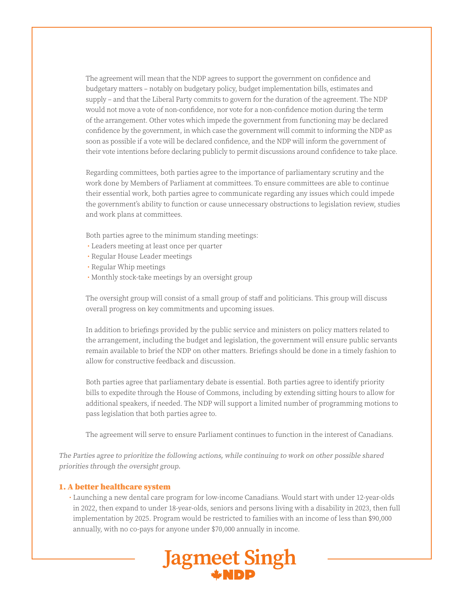The agreement will mean that the NDP agrees to support the government on confidence and budgetary matters – notably on budgetary policy, budget implementation bills, estimates and supply – and that the Liberal Party commits to govern for the duration of the agreement. The NDP would not move a vote of non-confidence, nor vote for a non-confidence motion during the term of the arrangement. Other votes which impede the government from functioning may be declared confidence by the government, in which case the government will commit to informing the NDP as soon as possible if a vote will be declared confidence, and the NDP will inform the government of their vote intentions before declaring publicly to permit discussions around confidence to take place.

 Regarding committees, both parties agree to the importance of parliamentary scrutiny and the work done by Members of Parliament at committees. To ensure committees are able to continue their essential work, both parties agree to communicate regarding any issues which could impede the government's ability to function or cause unnecessary obstructions to legislation review, studies and work plans at committees.

Both parties agree to the minimum standing meetings:

- Leaders meeting at least once per quarter
- Regular House Leader meetings
- Regular Whip meetings
- Monthly stock-take meetings by an oversight group

 The oversight group will consist of a small group of staff and politicians. This group will discuss overall progress on key commitments and upcoming issues.

 In addition to briefings provided by the public service and ministers on policy matters related to the arrangement, including the budget and legislation, the government will ensure public servants remain available to brief the NDP on other matters. Briefings should be done in a timely fashion to allow for constructive feedback and discussion.

 Both parties agree that parliamentary debate is essential. Both parties agree to identify priority bills to expedite through the House of Commons, including by extending sitting hours to allow for additional speakers, if needed. The NDP will support a limited number of programming motions to pass legislation that both parties agree to.

The agreement will serve to ensure Parliament continues to function in the interest of Canadians.

The Parties agree to prioritize the following actions, while continuing to work on other possible shared priorities through the oversight group.

## 1. A better healthcare system

 • Launching a new dental care program for low-income Canadians. Would start with under 12-year-olds in 2022, then expand to under 18-year-olds, seniors and persons living with a disability in 2023, then full implementation by 2025. Program would be restricted to families with an income of less than \$90,000 annually, with no co-pays for anyone under \$70,000 annually in income.

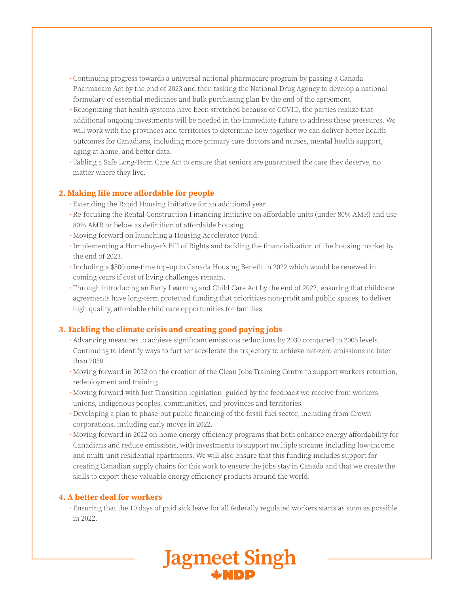- Continuing progress towards a universal national pharmacare program by passing a Canada Pharmacare Act by the end of 2023 and then tasking the National Drug Agency to develop a national formulary of essential medicines and bulk purchasing plan by the end of the agreement.
- Recognizing that health systems have been stretched because of COVID, the parties realize that additional ongoing investments will be needed in the immediate future to address these pressures. We will work with the provinces and territories to determine how together we can deliver better health outcomes for Canadians, including more primary care doctors and nurses, mental health support, aging at home, and better data.
- Tabling a Safe Long-Term Care Act to ensure that seniors are guaranteed the care they deserve, no matter where they live.

## **2. Making life more affordable for people**

- Extending the Rapid Housing Initiative for an additional year.
- Re-focusing the Rental Construction Financing Initiative on affordable units (under 80% AMR) and use 80% AMR or below as definition of affordable housing.
- Moving forward on launching a Housing Accelerator Fund.
- Implementing a Homebuyer's Bill of Rights and tackling the financialization of the housing market by the end of 2023.
- Including a \$500 one-time top-up to Canada Housing Benefit in 2022 which would be renewed in coming years if cost of living challenges remain.
- Through introducing an Early Learning and Child Care Act by the end of 2022, ensuring that childcare agreements have long-term protected funding that prioritizes non-profit and public spaces, to deliver high quality, affordable child care opportunities for families.

# **3. Tackling the climate crisis and creating good paying jobs**

- Advancing measures to achieve significant emissions reductions by 2030 compared to 2005 levels. Continuing to identify ways to further accelerate the trajectory to achieve net-zero emissions no later than 2050.
- Moving forward in 2022 on the creation of the Clean Jobs Training Centre to support workers retention, redeployment and training.
- Moving forward with Just Transition legislation, guided by the feedback we receive from workers, unions, Indigenous peoples, communities, and provinces and territories.
- Developing a plan to phase-out public financing of the fossil fuel sector, including from Crown corporations, including early moves in 2022.
- Moving forward in 2022 on home energy efficiency programs that both enhance energy affordability for Canadians and reduce emissions, with investments to support multiple streams including low-income and multi-unit residential apartments. We will also ensure that this funding includes support for creating Canadian supply chains for this work to ensure the jobs stay in Canada and that we create the skills to export these valuable energy efficiency products around the world.

# **4. A better deal for workers**

 • Ensuring that the 10 days of paid sick leave for all federally regulated workers starts as soon as possible in 2022.